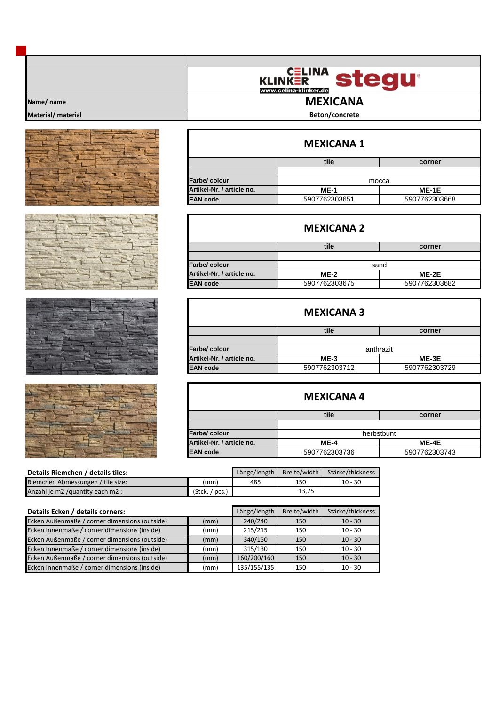|                    | <b>CELINA</b><br>stedu<br><b>KLINKER</b><br>www.celina-klinker.de |
|--------------------|-------------------------------------------------------------------|
| Name/ name         | <b>MEXICANA</b>                                                   |
| Material/ material | Beton/concrete                                                    |









| <b>MEXICANA 1</b>         |               |               |  |  |  |
|---------------------------|---------------|---------------|--|--|--|
|                           | tile          | corner        |  |  |  |
|                           |               |               |  |  |  |
| Farbe/ colour             | mocca         |               |  |  |  |
| Artikel-Nr. / article no. | $ME-1$        | ME-1E         |  |  |  |
| <b>EAN</b> code           | 5907762303651 | 5907762303668 |  |  |  |

| <b>MEXICANA 2</b>         |               |               |  |  |  |  |
|---------------------------|---------------|---------------|--|--|--|--|
|                           | tile          | corner        |  |  |  |  |
|                           |               |               |  |  |  |  |
| <b>Farbe/colour</b>       | sand          |               |  |  |  |  |
| Artikel-Nr. / article no. | $ME-2$        | $ME-2E$       |  |  |  |  |
| <b>EAN</b> code           | 5907762303675 | 5907762303682 |  |  |  |  |

| <b>MEXICANA 3</b>         |               |               |  |  |  |
|---------------------------|---------------|---------------|--|--|--|
|                           | tile          | corner        |  |  |  |
|                           |               |               |  |  |  |
| Farbe/ colour             | anthrazit     |               |  |  |  |
| Artikel-Nr. / article no. | $ME-3$        | ME-3E         |  |  |  |
| <b>EAN</b> code           | 5907762303712 | 5907762303729 |  |  |  |

| <b>MEXICANA4</b>          |               |               |  |  |  |
|---------------------------|---------------|---------------|--|--|--|
|                           | tile          | corner        |  |  |  |
|                           |               |               |  |  |  |
| Farbe/ colour             | herbstbunt    |               |  |  |  |
| Artikel-Nr. / article no. | $ME-4$        | ME-4E         |  |  |  |
| <b>EAN</b> code           | 5907762303736 | 5907762303743 |  |  |  |

| Details Riemchen / details tiles: |                | Länge/length | Breite/width | Stärke/thickness |
|-----------------------------------|----------------|--------------|--------------|------------------|
| Riemchen Abmessungen / tile size: | (mm)           | 485          | 150          | $10 - 30$        |
| Anzahl je m2 / quantity each m2 : | (Stck. / pcs.) | 13,75        |              |                  |

| Details Ecken / details corners:              |      | Länge/length | Breite/width | Stärke/thickness |
|-----------------------------------------------|------|--------------|--------------|------------------|
| Ecken Außenmaße / corner dimensions (outside) | (mm) | 240/240      | 150          | $10 - 30$        |
| Ecken Innenmaße / corner dimensions (inside)  | (mm) | 215/215      | 150          | $10 - 30$        |
| Ecken Außenmaße / corner dimensions (outside) | (mm) | 340/150      | 150          | $10 - 30$        |
| Ecken Innenmaße / corner dimensions (inside)  | (mm) | 315/130      | 150          | $10 - 30$        |
| Ecken Außenmaße / corner dimensions (outside) | (mm) | 160/200/160  | 150          | $10 - 30$        |
| Ecken Innenmaße / corner dimensions (inside)  | (mm) | 135/155/135  | 150          | $10 - 30$        |